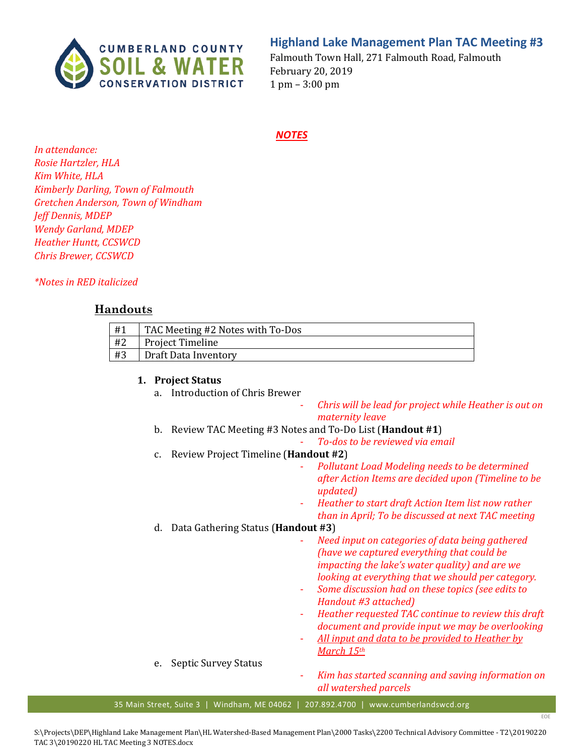

# **Highland Lake Management Plan TAC Meeting #3**

Falmouth Town Hall, 271 Falmouth Road, Falmouth February 20, 2019 1 pm – 3:00 pm

#### *NOTES*

*In attendance: Rosie Hartzler, HLA Kim White, HLA Kimberly Darling, Town of Falmouth Gretchen Anderson, Town of Windham Jeff Dennis, MDEP Wendy Garland, MDEP Heather Huntt, CCSWCD Chris Brewer, CCSWCD*

*\*Notes in RED italicized* 

# **Handouts**

| #1 | TAC Meeting #2 Notes with To-Dos |
|----|----------------------------------|
| #2 | Project Timeline                 |
| #3 | Draft Data Inventory             |

#### **1. Project Status**

- a. Introduction of Chris Brewer
	- *Chris will be lead for project while Heather is out on maternity leave*
- b. Review TAC Meeting #3 Notes and To-Do List (**Handout #1**)
	- *To-dos to be reviewed via email*
- c. Review Project Timeline (**Handout #2**)
	- *Pollutant Load Modeling needs to be determined after Action Items are decided upon (Timeline to be updated)*
	- *Heather to start draft Action Item list now rather than in April; To be discussed at next TAC meeting*

#### d. Data Gathering Status (**Handout #3**)

- *Need input on categories of data being gathered (have we captured everything that could be impacting the lake's water quality) and are we looking at everything that we should per category.* 

- *Some discussion had on these topics (see edits to Handout #3 attached)*
- *Heather requested TAC continue to review this draft document and provide input we may be overlooking*
- *All input and data to be provided to Heather by March 15th*
- e. Septic Survey Status
- *Kim has started scanning and saving information on all watershed parcels*

EOE

35 Main Street, Suite 3 | Windham, ME 04062 | 207.892.4700 | www.cumberlandswcd.org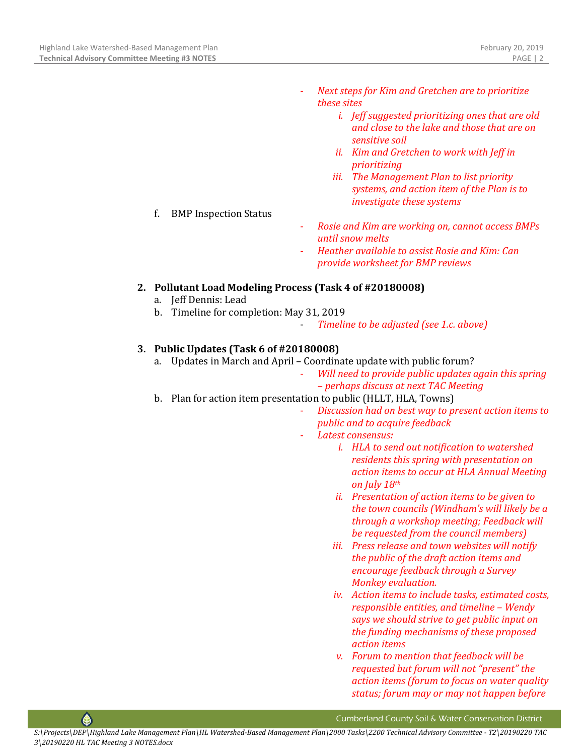- *Next steps for Kim and Gretchen are to prioritize these sites* 
	- *i. Jeff suggested prioritizing ones that are old and close to the lake and those that are on sensitive soil*
	- *ii. Kim and Gretchen to work with Jeff in prioritizing*
	- *iii. The Management Plan to list priority systems, and action item of the Plan is to investigate these systems*
- f. BMP Inspection Status
- *Rosie and Kim are working on, cannot access BMPs until snow melts*
- *Heather available to assist Rosie and Kim: Can provide worksheet for BMP reviews*

# **2. Pollutant Load Modeling Process (Task 4 of #20180008)**

- a. Jeff Dennis: Lead
- b. Timeline for completion: May 31, 2019
	- *Timeline to be adjusted (see 1.c. above)*

## **3. Public Updates (Task 6 of #20180008)**

- a. Updates in March and April Coordinate update with public forum?
	- *Will need to provide public updates again this spring – perhaps discuss at next TAC Meeting*
- b. Plan for action item presentation to public (HLLT, HLA, Towns)
	- *Discussion had on best way to present action items to public and to acquire feedback*
	- *Latest consensus:*
		- *i. HLA to send out notification to watershed residents this spring with presentation on action items to occur at HLA Annual Meeting on July 18th*
		- *ii. Presentation of action items to be given to the town councils (Windham's will likely be a through a workshop meeting; Feedback will be requested from the council members)*
		- *iii. Press release and town websites will notify the public of the draft action items and encourage feedback through a Survey Monkey evaluation.*
		- *iv. Action items to include tasks, estimated costs, responsible entities, and timeline – Wendy says we should strive to get public input on the funding mechanisms of these proposed action items*
		- *v. Forum to mention that feedback will be requested but forum will not "present" the action items (forum to focus on water quality status; forum may or may not happen before*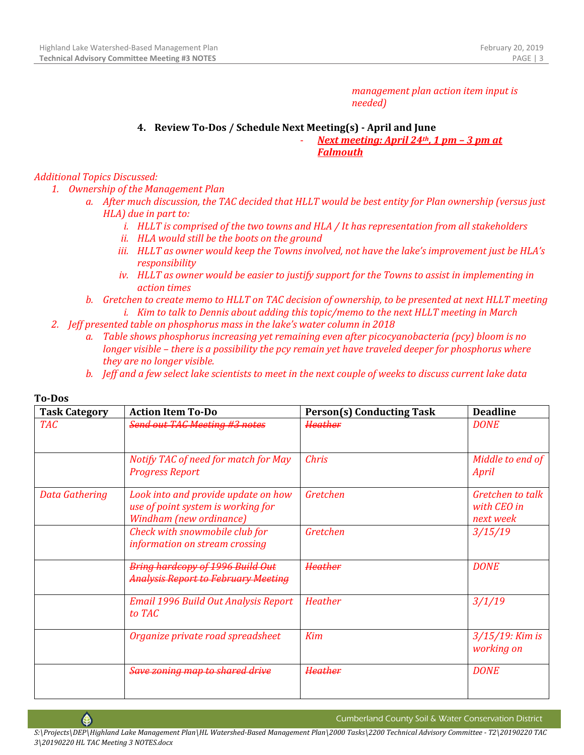*management plan action item input is needed)*

## **4. Review To-Dos / Schedule Next Meeting(s) - April and June**

- *Next meeting: April 24th, 1 pm – 3 pm at Falmouth*

## *Additional Topics Discussed:*

- *1. Ownership of the Management Plan*
	- *a. After much discussion, the TAC decided that HLLT would be best entity for Plan ownership (versus just HLA) due in part to:*
		- *i. HLLT is comprised of the two towns and HLA / It has representation from all stakeholders*
		- *ii. HLA would still be the boots on the ground*
		- *iii. HLLT as owner would keep the Towns involved, not have the lake's improvement just be HLA's responsibility*
		- *iv. HLLT as owner would be easier to justify support for the Towns to assist in implementing in action times*
	- *b. Gretchen to create memo to HLLT on TAC decision of ownership, to be presented at next HLLT meeting i. Kim to talk to Dennis about adding this topic/memo to the next HLLT meeting in March*
- *2. Jeff presented table on phosphorus mass in the lake's water column in 2018*
	- *a. Table shows phosphorus increasing yet remaining even after picocyanobacteria (pcy) bloom is no longer visible – there is a possibility the pcy remain yet have traveled deeper for phosphorus where they are no longer visible.*
	- *b. Jeff and a few select lake scientists to meet in the next couple of weeks to discuss current lake data*

| <b>Task Category</b> | <b>Action Item To-Do</b>                                                                             | <b>Person(s) Conducting Task</b> | <b>Deadline</b>                              |
|----------------------|------------------------------------------------------------------------------------------------------|----------------------------------|----------------------------------------------|
| <b>TAC</b>           | <b>Send out TAC Meeting #3 notes</b>                                                                 | <del>Heather</del>               | <b>DONE</b>                                  |
|                      | Notify TAC of need for match for May<br><b>Progress Report</b>                                       | <b>Chris</b>                     | Middle to end of<br>April                    |
| Data Gathering       | Look into and provide update on how<br>use of point system is working for<br>Windham (new ordinance) | Gretchen                         | Gretchen to talk<br>with CEO in<br>next week |
|                      | Check with snowmobile club for<br>information on stream crossing                                     | Gretchen                         | 3/15/19                                      |
|                      | Bring hardcopy of 1996 Build Out<br><b>Analysis Report to February Meeting</b>                       | Heather                          | <b>DONE</b>                                  |
|                      | Email 1996 Build Out Analysis Report<br>to TAC                                                       | <b>Heather</b>                   | 3/1/19                                       |
|                      | Organize private road spreadsheet                                                                    | Kim                              | $3/15/19$ : Kim is<br>working on             |
|                      | Save zoning map to shared drive                                                                      | <del>Heather</del>               | <b>DONE</b>                                  |

#### **To-Dos**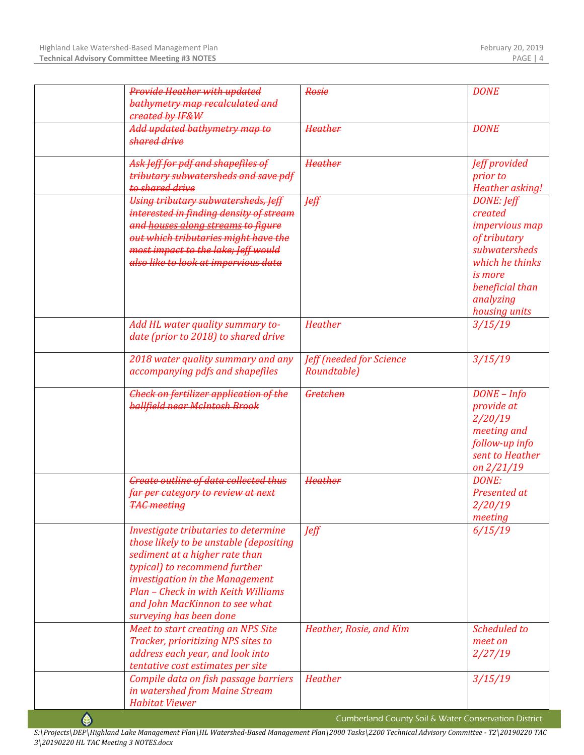|   | Provide Heather with updated                                                                                                                                                                                                                                                              | Rosie                                                | <b>DONE</b>                                                                                                                                                    |
|---|-------------------------------------------------------------------------------------------------------------------------------------------------------------------------------------------------------------------------------------------------------------------------------------------|------------------------------------------------------|----------------------------------------------------------------------------------------------------------------------------------------------------------------|
|   | bathymetry map recalculated and<br>created by IF&W                                                                                                                                                                                                                                        |                                                      |                                                                                                                                                                |
|   | Add updated bathymetry map to<br>shared drive                                                                                                                                                                                                                                             | <b>Heather</b>                                       | <b>DONE</b>                                                                                                                                                    |
|   | Ask Jeff for pdf and shapefiles of<br>tributary subwatersheds and save pdf<br>to shared drive                                                                                                                                                                                             | <b>Heather</b>                                       | Jeff provided<br>prior to<br>Heather asking!                                                                                                                   |
|   | Using tributary subwatersheds, Jeff<br>interested in finding density of stream<br>and houses along streams to figure<br>out which tributaries might have the<br>most impact to the lake; Jeff would<br>also like to look at impervious data                                               | <b>Jeff</b>                                          | DONE: Jeff<br>created<br><i>impervious map</i><br>of tributary<br>subwatersheds<br>which he thinks<br>is more<br>beneficial than<br>analyzing<br>housing units |
|   | Add HL water quality summary to-<br>date (prior to 2018) to shared drive                                                                                                                                                                                                                  | <b>Heather</b>                                       | 3/15/19                                                                                                                                                        |
|   | 2018 water quality summary and any<br>accompanying pdfs and shapefiles                                                                                                                                                                                                                    | Jeff (needed for Science<br>Roundtable)              | 3/15/19                                                                                                                                                        |
|   | <b>Check on fertilizer application of the</b><br>ballfield near McIntosh Brook                                                                                                                                                                                                            | Gretchen                                             | $DONE - Info$<br>provide at<br>2/20/19<br>meeting and<br>follow-up info<br>sent to Heather<br>on $2/21/19$                                                     |
|   | <b>Create outline of data collected thus</b><br>far per category to review at next<br><b>TAC meeting</b>                                                                                                                                                                                  | <b>Heather</b>                                       | <b>DONE:</b><br>Presented at<br>2/20/19<br>meeting                                                                                                             |
|   | Investigate tributaries to determine<br>those likely to be unstable (depositing<br>sediment at a higher rate than<br>typical) to recommend further<br>investigation in the Management<br>Plan - Check in with Keith Williams<br>and John MacKinnon to see what<br>surveying has been done | <b>Jeff</b>                                          | 6/15/19                                                                                                                                                        |
|   | Meet to start creating an NPS Site<br>Tracker, prioritizing NPS sites to<br>address each year, and look into<br>tentative cost estimates per site                                                                                                                                         | Heather, Rosie, and Kim                              | Scheduled to<br>meet on<br>2/27/19                                                                                                                             |
|   | Compile data on fish passage barriers<br>in watershed from Maine Stream<br><b>Habitat Viewer</b>                                                                                                                                                                                          | <b>Heather</b>                                       | 3/15/19                                                                                                                                                        |
| ♠ |                                                                                                                                                                                                                                                                                           | Cumberland County Soil & Water Conservation District |                                                                                                                                                                |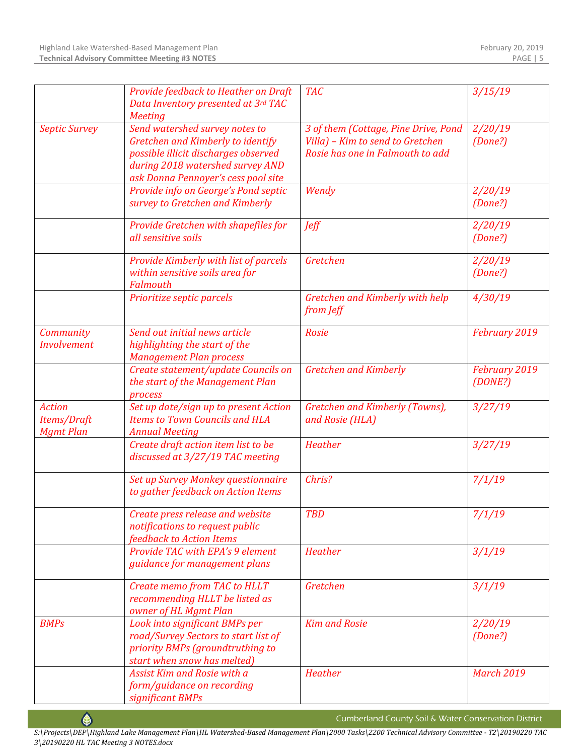|                                                  | Provide feedback to Heather on Draft<br>Data Inventory presented at 3rd TAC<br><b>Meeting</b>                                                                                          | <b>TAC</b>                                                                                                   | 3/15/19                  |
|--------------------------------------------------|----------------------------------------------------------------------------------------------------------------------------------------------------------------------------------------|--------------------------------------------------------------------------------------------------------------|--------------------------|
| <b>Septic Survey</b>                             | Send watershed survey notes to<br>Gretchen and Kimberly to identify<br>possible illicit discharges observed<br>during 2018 watershed survey AND<br>ask Donna Pennoyer's cess pool site | 3 of them (Cottage, Pine Drive, Pond<br>Villa) - Kim to send to Gretchen<br>Rosie has one in Falmouth to add | 2/20/19<br>(Done?)       |
|                                                  | Provide info on George's Pond septic<br>survey to Gretchen and Kimberly                                                                                                                | Wendy                                                                                                        | 2/20/19<br>(Done?)       |
|                                                  | Provide Gretchen with shapefiles for<br>all sensitive soils                                                                                                                            | <b>Jeff</b>                                                                                                  | 2/20/19<br>(Done?)       |
|                                                  | Provide Kimberly with list of parcels<br>within sensitive soils area for<br>Falmouth                                                                                                   | Gretchen                                                                                                     | 2/20/19<br>(Done?)       |
|                                                  | Prioritize septic parcels                                                                                                                                                              | Gretchen and Kimberly with help<br>from Jeff                                                                 | 4/30/19                  |
| Community<br><b>Involvement</b>                  | Send out initial news article<br>highlighting the start of the<br><b>Management Plan process</b>                                                                                       | <b>Rosie</b>                                                                                                 | February 2019            |
|                                                  | Create statement/update Councils on<br>the start of the Management Plan<br>process                                                                                                     | <b>Gretchen and Kimberly</b>                                                                                 | February 2019<br>(DONE?) |
| <b>Action</b><br>Items/Draft<br><b>Mgmt Plan</b> | Set up date/sign up to present Action<br><b>Items to Town Councils and HLA</b><br><b>Annual Meeting</b>                                                                                | Gretchen and Kimberly (Towns),<br>and Rosie (HLA)                                                            | 3/27/19                  |
|                                                  | Create draft action item list to be<br>discussed at 3/27/19 TAC meeting                                                                                                                | <b>Heather</b>                                                                                               | 3/27/19                  |
|                                                  | Set up Survey Monkey questionnaire<br>to gather feedback on Action Items                                                                                                               | Chris?                                                                                                       | 7/1/19                   |
|                                                  | Create press release and website<br>notifications to request public<br>feedback to Action Items                                                                                        | <b>TBD</b>                                                                                                   | 7/1/19                   |
|                                                  | Provide TAC with EPA's 9 element<br>guidance for management plans                                                                                                                      | <b>Heather</b>                                                                                               | 3/1/19                   |
|                                                  | Create memo from TAC to HLLT<br>recommending HLLT be listed as<br>owner of HL Mgmt Plan                                                                                                | Gretchen                                                                                                     | 3/1/19                   |
| <b>BMPs</b>                                      | Look into significant BMPs per<br>road/Survey Sectors to start list of<br>priority BMPs (groundtruthing to<br>start when snow has melted)                                              | <b>Kim and Rosie</b>                                                                                         | 2/20/19<br>(Done?)       |
|                                                  | Assist Kim and Rosie with a<br>form/guidance on recording<br>significant BMPs                                                                                                          | Heather                                                                                                      | <b>March 2019</b>        |

 $\bigcirc$ 

Cumberland County Soil & Water Conservation District